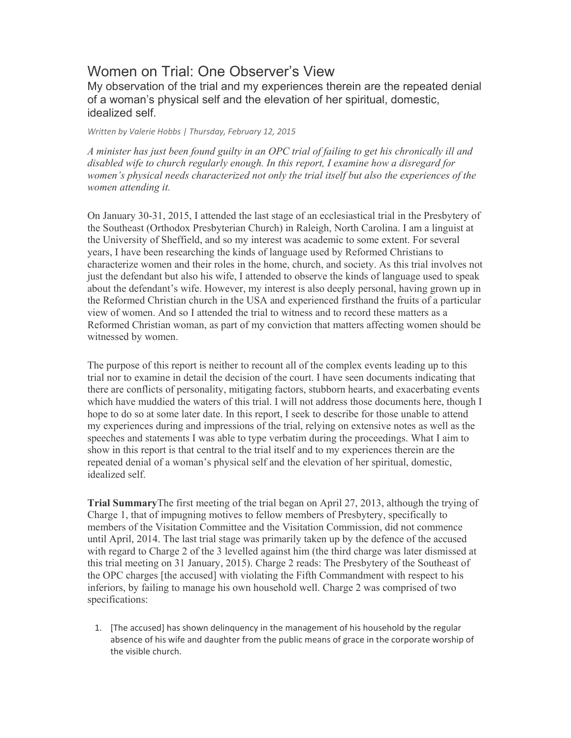# Women on Trial: One Observer's View

My observation of the trial and my experiences therein are the repeated denial of a woman's physical self and the elevation of her spiritual, domestic, idealized self.

*Written by Valerie Hobbs | Thursday, February 12, 2015*

*A minister has just been found guilty in an OPC trial of failing to get his chronically ill and disabled wife to church regularly enough. In this report, I examine how a disregard for women's physical needs characterized not only the trial itself but also the experiences of the women attending it.*

On January 30-31, 2015, I attended the last stage of an ecclesiastical trial in the Presbytery of the Southeast (Orthodox Presbyterian Church) in Raleigh, North Carolina. I am a linguist at the University of Sheffield, and so my interest was academic to some extent. For several years, I have been researching the kinds of language used by Reformed Christians to characterize women and their roles in the home, church, and society. As this trial involves not just the defendant but also his wife, I attended to observe the kinds of language used to speak about the defendant's wife. However, my interest is also deeply personal, having grown up in the Reformed Christian church in the USA and experienced firsthand the fruits of a particular view of women. And so I attended the trial to witness and to record these matters as a Reformed Christian woman, as part of my conviction that matters affecting women should be witnessed by women.

The purpose of this report is neither to recount all of the complex events leading up to this trial nor to examine in detail the decision of the court. I have seen documents indicating that there are conflicts of personality, mitigating factors, stubborn hearts, and exacerbating events which have muddied the waters of this trial. I will not address those documents here, though I hope to do so at some later date. In this report, I seek to describe for those unable to attend my experiences during and impressions of the trial, relying on extensive notes as well as the speeches and statements I was able to type verbatim during the proceedings. What I aim to show in this report is that central to the trial itself and to my experiences therein are the repeated denial of a woman's physical self and the elevation of her spiritual, domestic, idealized self.

**Trial Summary**The first meeting of the trial began on April 27, 2013, although the trying of Charge 1, that of impugning motives to fellow members of Presbytery, specifically to members of the Visitation Committee and the Visitation Commission, did not commence until April, 2014. The last trial stage was primarily taken up by the defence of the accused with regard to Charge 2 of the 3 levelled against him (the third charge was later dismissed at this trial meeting on 31 January, 2015). Charge 2 reads: The Presbytery of the Southeast of the OPC charges [the accused] with violating the Fifth Commandment with respect to his inferiors, by failing to manage his own household well. Charge 2 was comprised of two specifications:

1. [The accused] has shown delinquency in the management of his household by the regular absence of his wife and daughter from the public means of grace in the corporate worship of the visible church.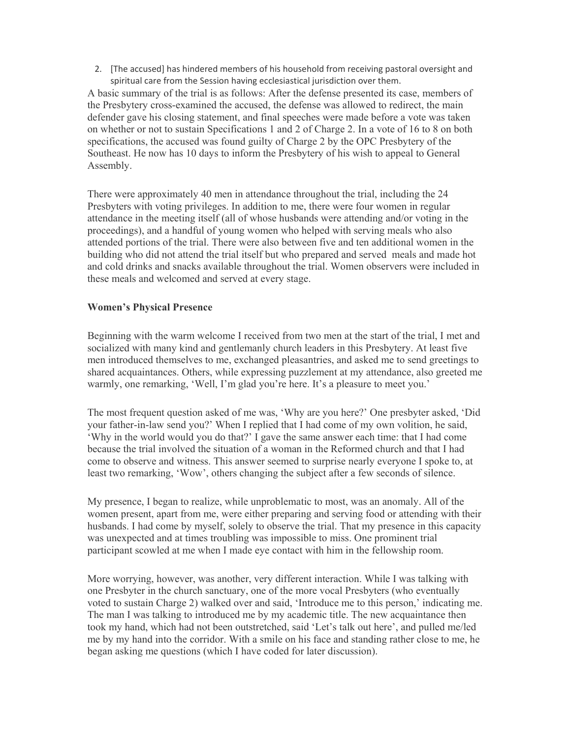2. [The accused] has hindered members of his household from receiving pastoral oversight and spiritual care from the Session having ecclesiastical jurisdiction over them.

A basic summary of the trial is as follows: After the defense presented its case, members of the Presbytery cross-examined the accused, the defense was allowed to redirect, the main defender gave his closing statement, and final speeches were made before a vote was taken on whether or not to sustain Specifications 1 and 2 of Charge 2. In a vote of 16 to 8 on both specifications, the accused was found guilty of Charge 2 by the OPC Presbytery of the Southeast. He now has 10 days to inform the Presbytery of his wish to appeal to General Assembly.

There were approximately 40 men in attendance throughout the trial, including the 24 Presbyters with voting privileges. In addition to me, there were four women in regular attendance in the meeting itself (all of whose husbands were attending and/or voting in the proceedings), and a handful of young women who helped with serving meals who also attended portions of the trial. There were also between five and ten additional women in the building who did not attend the trial itself but who prepared and served meals and made hot and cold drinks and snacks available throughout the trial. Women observers were included in these meals and welcomed and served at every stage.

### **Women's Physical Presence**

Beginning with the warm welcome I received from two men at the start of the trial, I met and socialized with many kind and gentlemanly church leaders in this Presbytery. At least five men introduced themselves to me, exchanged pleasantries, and asked me to send greetings to shared acquaintances. Others, while expressing puzzlement at my attendance, also greeted me warmly, one remarking, 'Well, I'm glad you're here. It's a pleasure to meet you.'

The most frequent question asked of me was, 'Why are you here?' One presbyter asked, 'Did your father-in-law send you?' When I replied that I had come of my own volition, he said, 'Why in the world would you do that?' I gave the same answer each time: that I had come because the trial involved the situation of a woman in the Reformed church and that I had come to observe and witness. This answer seemed to surprise nearly everyone I spoke to, at least two remarking, 'Wow', others changing the subject after a few seconds of silence.

My presence, I began to realize, while unproblematic to most, was an anomaly. All of the women present, apart from me, were either preparing and serving food or attending with their husbands. I had come by myself, solely to observe the trial. That my presence in this capacity was unexpected and at times troubling was impossible to miss. One prominent trial participant scowled at me when I made eye contact with him in the fellowship room.

More worrying, however, was another, very different interaction. While I was talking with one Presbyter in the church sanctuary, one of the more vocal Presbyters (who eventually voted to sustain Charge 2) walked over and said, 'Introduce me to this person,' indicating me. The man I was talking to introduced me by my academic title. The new acquaintance then took my hand, which had not been outstretched, said 'Let's talk out here', and pulled me/led me by my hand into the corridor. With a smile on his face and standing rather close to me, he began asking me questions (which I have coded for later discussion).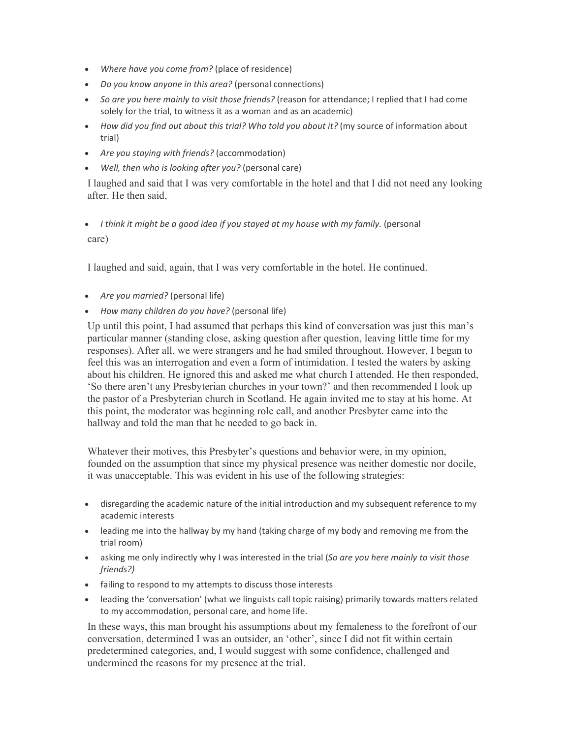- *Where have you come from?* (place of residence)
- *Do you know anyone in this area?* (personal connections)
- *So are you here mainly to visit those friends?* (reason for attendance; I replied that I had come solely for the trial, to witness it as a woman and as an academic)
- *How did you find out about this trial? Who told you about it?* (my source of information about trial)
- *Are you staying with friends?* (accommodation)
- *Well, then who is looking after you?* (personal care)

I laughed and said that I was very comfortable in the hotel and that I did not need any looking after. He then said,

## *I think it might be a good idea if you stayed at my house with my family.* (personal care)

I laughed and said, again, that I was very comfortable in the hotel. He continued.

- *Are you married?* (personal life)
- *How many children do you have?* (personal life)

Up until this point, I had assumed that perhaps this kind of conversation was just this man's particular manner (standing close, asking question after question, leaving little time for my responses). After all, we were strangers and he had smiled throughout. However, I began to feel this was an interrogation and even a form of intimidation. I tested the waters by asking about his children. He ignored this and asked me what church I attended. He then responded, 'So there aren't any Presbyterian churches in your town?' and then recommended I look up the pastor of a Presbyterian church in Scotland. He again invited me to stay at his home. At this point, the moderator was beginning role call, and another Presbyter came into the hallway and told the man that he needed to go back in.

Whatever their motives, this Presbyter's questions and behavior were, in my opinion, founded on the assumption that since my physical presence was neither domestic nor docile, it was unacceptable. This was evident in his use of the following strategies:

- disregarding the academic nature of the initial introduction and my subsequent reference to my academic interests
- leading me into the hallway by my hand (taking charge of my body and removing me from the trial room)
- asking me only indirectly why I was interested in the trial (*So are you here mainly to visit those friends?)*
- failing to respond to my attempts to discuss those interests
- leading the 'conversation' (what we linguists call topic raising) primarily towards matters related to my accommodation, personal care, and home life.

In these ways, this man brought his assumptions about my femaleness to the forefront of our conversation, determined I was an outsider, an 'other', since I did not fit within certain predetermined categories, and, I would suggest with some confidence, challenged and undermined the reasons for my presence at the trial.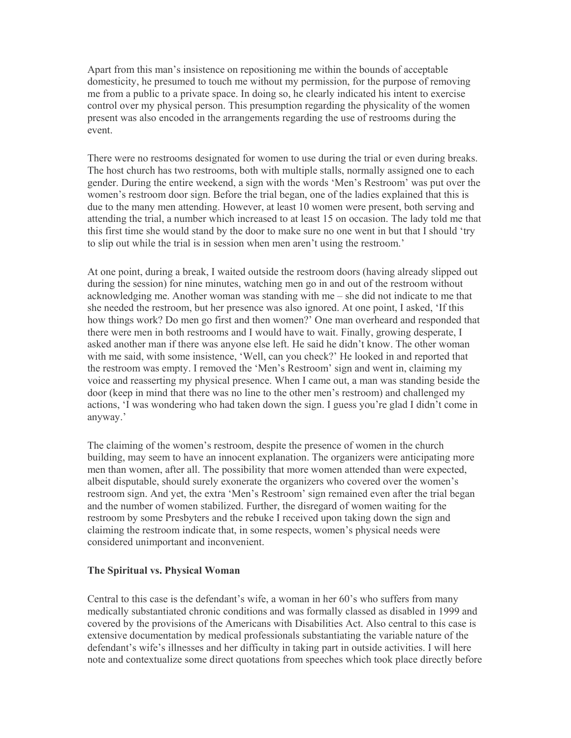Apart from this man's insistence on repositioning me within the bounds of acceptable domesticity, he presumed to touch me without my permission, for the purpose of removing me from a public to a private space. In doing so, he clearly indicated his intent to exercise control over my physical person. This presumption regarding the physicality of the women present was also encoded in the arrangements regarding the use of restrooms during the event.

There were no restrooms designated for women to use during the trial or even during breaks. The host church has two restrooms, both with multiple stalls, normally assigned one to each gender. During the entire weekend, a sign with the words 'Men's Restroom' was put over the women's restroom door sign. Before the trial began, one of the ladies explained that this is due to the many men attending. However, at least 10 women were present, both serving and attending the trial, a number which increased to at least 15 on occasion. The lady told me that this first time she would stand by the door to make sure no one went in but that I should 'try to slip out while the trial is in session when men aren't using the restroom.'

At one point, during a break, I waited outside the restroom doors (having already slipped out during the session) for nine minutes, watching men go in and out of the restroom without acknowledging me. Another woman was standing with me – she did not indicate to me that she needed the restroom, but her presence was also ignored. At one point, I asked, 'If this how things work? Do men go first and then women?' One man overheard and responded that there were men in both restrooms and I would have to wait. Finally, growing desperate, I asked another man if there was anyone else left. He said he didn't know. The other woman with me said, with some insistence, 'Well, can you check?' He looked in and reported that the restroom was empty. I removed the 'Men's Restroom' sign and went in, claiming my voice and reasserting my physical presence. When I came out, a man was standing beside the door (keep in mind that there was no line to the other men's restroom) and challenged my actions, 'I was wondering who had taken down the sign. I guess you're glad I didn't come in anyway.'

The claiming of the women's restroom, despite the presence of women in the church building, may seem to have an innocent explanation. The organizers were anticipating more men than women, after all. The possibility that more women attended than were expected, albeit disputable, should surely exonerate the organizers who covered over the women's restroom sign. And yet, the extra 'Men's Restroom' sign remained even after the trial began and the number of women stabilized. Further, the disregard of women waiting for the restroom by some Presbyters and the rebuke I received upon taking down the sign and claiming the restroom indicate that, in some respects, women's physical needs were considered unimportant and inconvenient.

#### **The Spiritual vs. Physical Woman**

Central to this case is the defendant's wife, a woman in her 60's who suffers from many medically substantiated chronic conditions and was formally classed as disabled in 1999 and covered by the provisions of the Americans with Disabilities Act. Also central to this case is extensive documentation by medical professionals substantiating the variable nature of the defendant's wife's illnesses and her difficulty in taking part in outside activities. I will here note and contextualize some direct quotations from speeches which took place directly before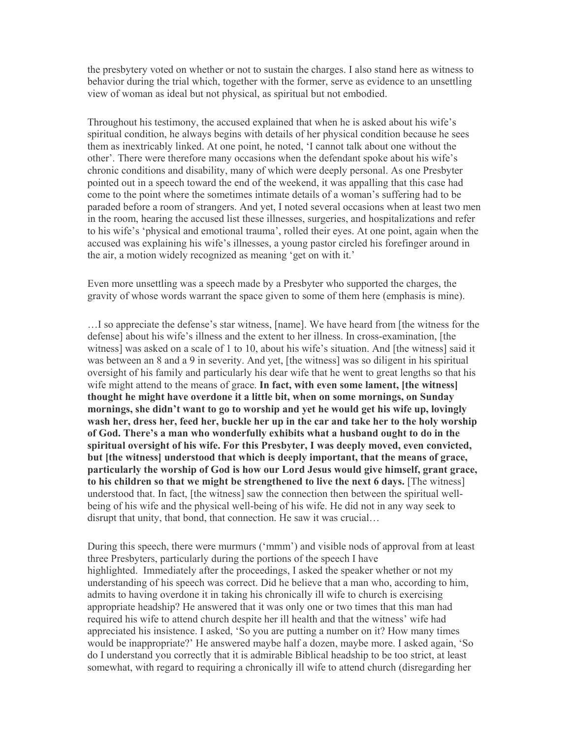the presbytery voted on whether or not to sustain the charges. I also stand here as witness to behavior during the trial which, together with the former, serve as evidence to an unsettling view of woman as ideal but not physical, as spiritual but not embodied.

Throughout his testimony, the accused explained that when he is asked about his wife's spiritual condition, he always begins with details of her physical condition because he sees them as inextricably linked. At one point, he noted, 'I cannot talk about one without the other'. There were therefore many occasions when the defendant spoke about his wife's chronic conditions and disability, many of which were deeply personal. As one Presbyter pointed out in a speech toward the end of the weekend, it was appalling that this case had come to the point where the sometimes intimate details of a woman's suffering had to be paraded before a room of strangers. And yet, I noted several occasions when at least two men in the room, hearing the accused list these illnesses, surgeries, and hospitalizations and refer to his wife's 'physical and emotional trauma', rolled their eyes. At one point, again when the accused was explaining his wife's illnesses, a young pastor circled his forefinger around in the air, a motion widely recognized as meaning 'get on with it.'

Even more unsettling was a speech made by a Presbyter who supported the charges, the gravity of whose words warrant the space given to some of them here (emphasis is mine).

…I so appreciate the defense's star witness, [name]. We have heard from [the witness for the defense] about his wife's illness and the extent to her illness. In cross-examination, [the witness] was asked on a scale of 1 to 10, about his wife's situation. And [the witness] said it was between an 8 and a 9 in severity. And yet, [the witness] was so diligent in his spiritual oversight of his family and particularly his dear wife that he went to great lengths so that his wife might attend to the means of grace. **In fact, with even some lament, [the witness] thought he might have overdone it a little bit, when on some mornings, on Sunday mornings, she didn't want to go to worship and yet he would get his wife up, lovingly wash her, dress her, feed her, buckle her up in the car and take her to the holy worship of God. There's a man who wonderfully exhibits what a husband ought to do in the spiritual oversight of his wife. For this Presbyter, I was deeply moved, even convicted, but [the witness] understood that which is deeply important, that the means of grace, particularly the worship of God is how our Lord Jesus would give himself, grant grace, to his children so that we might be strengthened to live the next 6 days.** [The witness] understood that. In fact, [the witness] saw the connection then between the spiritual wellbeing of his wife and the physical well-being of his wife. He did not in any way seek to disrupt that unity, that bond, that connection. He saw it was crucial…

During this speech, there were murmurs ('mmm') and visible nods of approval from at least three Presbyters, particularly during the portions of the speech I have highlighted. Immediately after the proceedings, I asked the speaker whether or not my understanding of his speech was correct. Did he believe that a man who, according to him, admits to having overdone it in taking his chronically ill wife to church is exercising appropriate headship? He answered that it was only one or two times that this man had required his wife to attend church despite her ill health and that the witness' wife had appreciated his insistence. I asked, 'So you are putting a number on it? How many times would be inappropriate?' He answered maybe half a dozen, maybe more. I asked again, 'So do I understand you correctly that it is admirable Biblical headship to be too strict, at least somewhat, with regard to requiring a chronically ill wife to attend church (disregarding her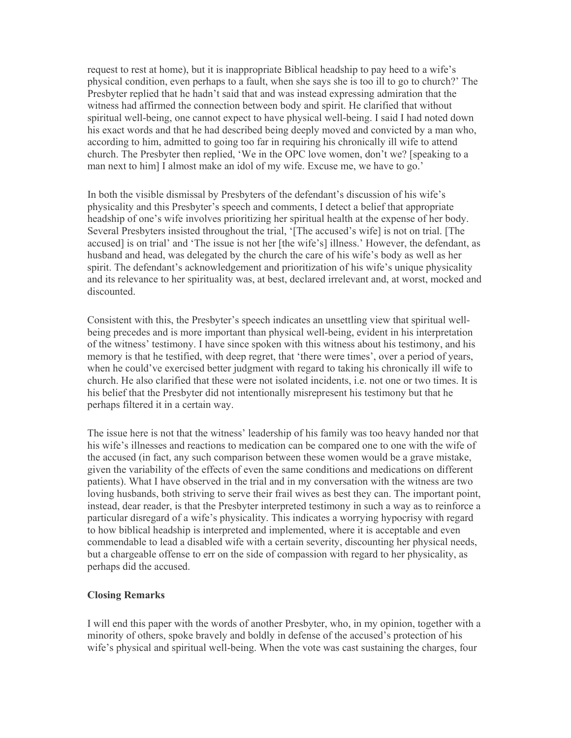request to rest at home), but it is inappropriate Biblical headship to pay heed to a wife's physical condition, even perhaps to a fault, when she says she is too ill to go to church?' The Presbyter replied that he hadn't said that and was instead expressing admiration that the witness had affirmed the connection between body and spirit. He clarified that without spiritual well-being, one cannot expect to have physical well-being. I said I had noted down his exact words and that he had described being deeply moved and convicted by a man who, according to him, admitted to going too far in requiring his chronically ill wife to attend church. The Presbyter then replied, 'We in the OPC love women, don't we? [speaking to a man next to him] I almost make an idol of my wife. Excuse me, we have to go.'

In both the visible dismissal by Presbyters of the defendant's discussion of his wife's physicality and this Presbyter's speech and comments, I detect a belief that appropriate headship of one's wife involves prioritizing her spiritual health at the expense of her body. Several Presbyters insisted throughout the trial, '[The accused's wife] is not on trial. [The accused] is on trial' and 'The issue is not her [the wife's] illness.' However, the defendant, as husband and head, was delegated by the church the care of his wife's body as well as her spirit. The defendant's acknowledgement and prioritization of his wife's unique physicality and its relevance to her spirituality was, at best, declared irrelevant and, at worst, mocked and discounted.

Consistent with this, the Presbyter's speech indicates an unsettling view that spiritual wellbeing precedes and is more important than physical well-being, evident in his interpretation of the witness' testimony. I have since spoken with this witness about his testimony, and his memory is that he testified, with deep regret, that 'there were times', over a period of years, when he could've exercised better judgment with regard to taking his chronically ill wife to church. He also clarified that these were not isolated incidents, i.e. not one or two times. It is his belief that the Presbyter did not intentionally misrepresent his testimony but that he perhaps filtered it in a certain way.

The issue here is not that the witness' leadership of his family was too heavy handed nor that his wife's illnesses and reactions to medication can be compared one to one with the wife of the accused (in fact, any such comparison between these women would be a grave mistake, given the variability of the effects of even the same conditions and medications on different patients). What I have observed in the trial and in my conversation with the witness are two loving husbands, both striving to serve their frail wives as best they can. The important point, instead, dear reader, is that the Presbyter interpreted testimony in such a way as to reinforce a particular disregard of a wife's physicality. This indicates a worrying hypocrisy with regard to how biblical headship is interpreted and implemented, where it is acceptable and even commendable to lead a disabled wife with a certain severity, discounting her physical needs, but a chargeable offense to err on the side of compassion with regard to her physicality, as perhaps did the accused.

#### **Closing Remarks**

I will end this paper with the words of another Presbyter, who, in my opinion, together with a minority of others, spoke bravely and boldly in defense of the accused's protection of his wife's physical and spiritual well-being. When the vote was cast sustaining the charges, four